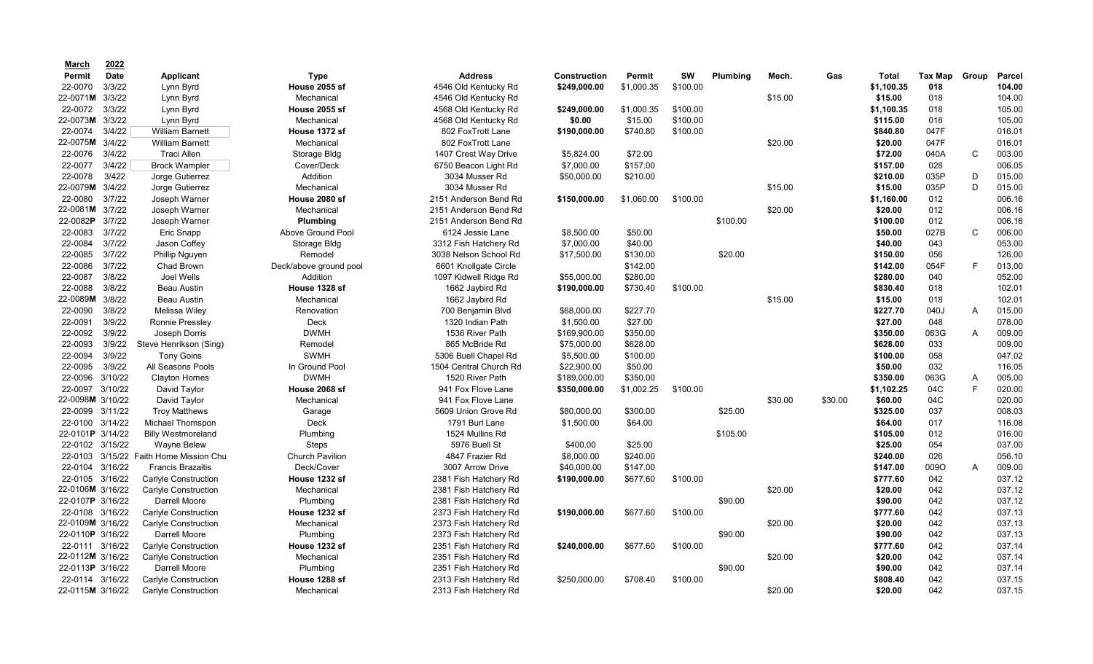| March                    | 2022    |                                        |                        |                        |                     |            |          |          |         |         |            |         |                |        |
|--------------------------|---------|----------------------------------------|------------------------|------------------------|---------------------|------------|----------|----------|---------|---------|------------|---------|----------------|--------|
| Permit                   | Date    | <b>Applicant</b>                       | <b>Type</b>            | <b>Address</b>         | <b>Construction</b> | Permit     | sw       | Plumbing | Mech.   | Gas     | Total      | Tax Map | Group          | Parcel |
| 22-0070                  | 3/3/22  | Lynn Byrd                              | House 2055 sf          | 4546 Old Kentucky Rd   | \$249,000.00        | \$1,000.35 | \$100.00 |          |         |         | \$1,100.35 | 018     |                | 104.00 |
| 22-0071 <b>M</b>         | 3/3/22  | Lynn Byrd                              | Mechanical             | 4546 Old Kentucky Rd   |                     |            |          |          | \$15.00 |         | \$15.00    | 018     |                | 104.00 |
| 22-0072                  | 3/3/22  | Lynn Byrd                              | House 2055 sf          | 4568 Old Kentucky Rd   | \$249,000.00        | \$1,000.35 | \$100.00 |          |         |         | \$1,100.35 | 018     |                | 105.00 |
| 22-0073M 3/3/22          |         | Lynn Byrd                              | Mechanical             | 4568 Old Kentucky Rd   | \$0.00              | \$15.00    | \$100.00 |          |         |         | \$115.00   | 018     |                | 105.00 |
| 22-0074                  | 3/4/22  | <b>William Barnett</b>                 | House 1372 sf          | 802 FoxTrott Lane      | \$190,000.00        | \$740.80   | \$100.00 |          |         |         | \$840.80   | 047F    |                | 016.01 |
| 22-0075M                 | 3/4/22  | <b>William Barnett</b>                 | Mechanical             | 802 FoxTrott Lane      |                     |            |          |          | \$20.00 |         | \$20.00    | 047F    |                | 016.01 |
| 22-0076                  | 3/4/22  | <b>Traci Allen</b>                     | Storage Bldg           | 1407 Crest Way Drive   | \$5,824.00          | \$72.00    |          |          |         |         | \$72.00    | 040A    | $\mathsf{C}$   | 003.00 |
| 22-0077                  | 3/4/22  | <b>Brock Wampler</b>                   | Cover/Deck             | 6750 Beacon Light Rd   | \$7,000.00          | \$157.00   |          |          |         |         | \$157.00   | 028     |                | 006.05 |
| 22-0078                  | 3/422   | Jorge Gutierrez                        | Addition               | 3034 Musser Rd         | \$50,000.00         | \$210.00   |          |          |         |         | \$210.00   | 035P    | D              | 015.00 |
| 22-0079M                 | 3/4/22  | Jorge Gutierrez                        | Mechanical             | 3034 Musser Rd         |                     |            |          |          | \$15.00 |         | \$15.00    | 035P    | D              | 015.00 |
| 22-0080                  | 3/7/22  | Joseph Warner                          | House 2080 sf          | 2151 Anderson Bend Rd  | \$150,000.00        | \$1,060.00 | \$100.00 |          |         |         | \$1,160.00 | 012     |                | 006.16 |
| 22-0081M                 | 3/7/22  | Joseph Warner                          | Mechanical             | 2151 Anderson Bend Rd  |                     |            |          |          | \$20.00 |         | \$20.00    | 012     |                | 006.16 |
| 22-0082P                 | 3/7/22  | Joseph Warner                          | Plumbing               | 2151 Anderson Bend Rd  |                     |            |          | \$100.00 |         |         | \$100.00   | 012     |                | 006.16 |
| 22-0083                  | 3/7/22  | Eric Snapp                             | Above Ground Pool      | 6124 Jessie Lane       | \$8,500.00          | \$50.00    |          |          |         |         | \$50.00    | 027B    | $\mathsf{C}$   | 006.00 |
| 22-0084                  | 3/7/22  | Jason Coffey                           | Storage Bldg           | 3312 Fish Hatchery Rd  | \$7,000.00          | \$40.00    |          |          |         |         | \$40.00    | 043     |                | 053.00 |
| 22-0085                  | 3/7/22  | <b>Phillip Nguyen</b>                  | Remodel                | 3038 Nelson School Rd  | \$17,500.00         | \$130.00   |          | \$20.00  |         |         | \$150.00   | 056     |                | 126.00 |
| 22-0086                  | 3/7/22  | Chad Brown                             | Deck/above ground pool | 6601 Knollgate Circle  |                     | \$142.00   |          |          |         |         | \$142.00   | 054F    | E              | 013.00 |
| 22-0087                  | 3/8/22  | Joel Wells                             | Addition               | 1097 Kidwell Ridge Rd  | \$55,000.00         | \$280.00   |          |          |         |         | \$280.00   | 040     |                | 052.00 |
| 22-0088                  | 3/8/22  | <b>Beau Austin</b>                     | House 1328 sf          | 1662 Jaybird Rd        | \$190,000.00        | \$730.40   | \$100.00 |          |         |         | \$830.40   | 018     |                | 102.01 |
| 22-0089M                 | 3/8/22  | Beau Austin                            | Mechanical             | 1662 Jaybird Rd        |                     |            |          |          | \$15.00 |         | \$15.00    | 018     |                | 102.01 |
| 22-0090                  | 3/8/22  | Melissa Wiley                          | Renovation             | 700 Benjamin Blvd      | \$68,000.00         | \$227.70   |          |          |         |         | \$227.70   | 040J    | $\overline{A}$ | 015.00 |
| 22-0091                  | 3/9/22  | <b>Ronnie Pressley</b>                 | Deck                   | 1320 Indian Path       | \$1,500.00          | \$27.00    |          |          |         |         | \$27.00    | 048     |                | 078.00 |
| 22-0092                  | 3/9/22  | Joseph Dorris                          | <b>DWMH</b>            | 1536 River Path        | \$169,900.00        | \$350.00   |          |          |         |         | \$350.00   | 063G    | $\overline{A}$ | 009.00 |
| 22-0093                  | 3/9/22  | Steve Henrikson (Sing)                 | Remodel                | 865 McBride Rd         | \$75,000.00         | \$628.00   |          |          |         |         | \$628.00   | 033     |                | 009.00 |
| 22-0094                  | 3/9/22  | <b>Tony Goins</b>                      | <b>SWMH</b>            | 5306 Buell Chapel Rd   | \$5,500.00          | \$100.00   |          |          |         |         | \$100.00   | 058     |                | 047.02 |
| 22-0095                  | 3/9/22  | All Seasons Pools                      | In Ground Pool         | 1504 Central Church Rd | \$22,900.00         | \$50.00    |          |          |         |         | \$50.00    | 032     |                | 116.05 |
| 22-0096                  | 3/10/22 | <b>Clayton Homes</b>                   | <b>DWMH</b>            | 1520 River Path        | \$189,000.00        | \$350.00   |          |          |         |         | \$350.00   | 063G    | $\overline{A}$ | 005.00 |
| 22-0097                  | 3/10/22 | David Taylor                           | House 2068 sf          | 941 Fox Flove Lane     | \$350,000.00        | \$1,002.25 | \$100.00 |          |         |         | \$1,102.25 | 04C     | E              | 020.00 |
| 22-0098M 3/10/22         |         | David Taylor                           | Mechanical             | 941 Fox Flove Lane     |                     |            |          |          | \$30.00 | \$30.00 | \$60.00    | 04C     |                | 020.00 |
| 22-0099                  | 3/11/22 | <b>Troy Matthews</b>                   | Garage                 | 5609 Union Grove Rd    | \$80,000.00         | \$300.00   |          | \$25.00  |         |         | \$325.00   | 037     |                | 008.03 |
| 22-0100                  | 3/14/22 | Michael Thomspon                       | <b>Deck</b>            | 1791 Burl Lane         | \$1,500.00          | \$64.00    |          |          |         |         | \$64.00    | 017     |                | 116.08 |
| 22-0101 <b>P</b> 3/14/22 |         | <b>Billy Westmoreland</b>              | Plumbing               | 1524 Mullins Rd        |                     |            |          | \$105.00 |         |         | \$105.00   | 012     |                | 016.00 |
| 22-0102 3/15/22          |         | <b>Wayne Belew</b>                     | <b>Steps</b>           | 5976 Buell St          | \$400.00            | \$25.00    |          |          |         |         | \$25.00    | 054     |                | 037.00 |
|                          |         | 22-0103 3/15/22 Faith Home Mission Chu | <b>Church Pavilion</b> | 4847 Frazier Rd        | \$8,000.00          | \$240.00   |          |          |         |         | \$240.00   | 026     |                | 056.10 |
| 22-0104 3/16/22          |         | <b>Francis Brazaitis</b>               | Deck/Cover             | 3007 Arrow Drive       | \$40,000.00         | \$147.00   |          |          |         |         | \$147.00   | 009O    | $\overline{A}$ | 009.00 |
| 22-0105 3/16/22          |         | Carlyle Construction                   | House 1232 sf          | 2381 Fish Hatchery Rd  | \$190,000.00        | \$677.60   | \$100.00 |          |         |         | \$777.60   | 042     |                | 037.12 |
| 22-0106M 3/16/22         |         | Carlyle Construction                   | Mechanical             | 2381 Fish Hatchery Rd  |                     |            |          |          | \$20.00 |         | \$20.00    | 042     |                | 037.12 |
| 22-0107P 3/16/22         |         | Darrell Moore                          | Plumbing               | 2381 Fish Hatchery Rd  |                     |            |          | \$90.00  |         |         | \$90.00    | 042     |                | 037.12 |
| 22-0108 3/16/22          |         | Carlyle Construction                   | House 1232 sf          | 2373 Fish Hatchery Rd  | \$190,000.00        | \$677.60   | \$100.00 |          |         |         | \$777.60   | 042     |                | 037.13 |
| 22-0109M 3/16/22         |         | Carlyle Construction                   | Mechanical             | 2373 Fish Hatchery Rd  |                     |            |          |          | \$20.00 |         | \$20.00    | 042     |                | 037.13 |
| 22-0110P 3/16/22         |         | Darrell Moore                          | Plumbing               | 2373 Fish Hatchery Rd  |                     |            |          | \$90.00  |         |         | \$90.00    | 042     |                | 037.13 |
| 22-0111 3/16/22          |         | Carlyle Construction                   | House 1232 sf          | 2351 Fish Hatchery Rd  | \$240,000.00        | \$677.60   | \$100.00 |          |         |         | \$777.60   | 042     |                | 037.14 |
| 22-0112M 3/16/22         |         | Carlyle Construction                   | Mechanical             | 2351 Fish Hatchery Rd  |                     |            |          |          | \$20.00 |         | \$20.00    | 042     |                | 037.14 |
| 22-0113P 3/16/22         |         | <b>Darrell Moore</b>                   | Plumbing               | 2351 Fish Hatchery Rd  |                     |            |          | \$90.00  |         |         | \$90.00    | 042     |                | 037.14 |
| 22-0114 3/16/22          |         | Carlyle Construction                   | House 1288 sf          | 2313 Fish Hatchery Rd  | \$250,000.00        | \$708.40   | \$100.00 |          |         |         | \$808.40   | 042     |                | 037.15 |
| 22-0115M 3/16/22         |         | Carlyle Construction                   | Mechanical             | 2313 Fish Hatchery Rd  |                     |            |          |          | \$20.00 |         | \$20.00    | 042     |                | 037.15 |